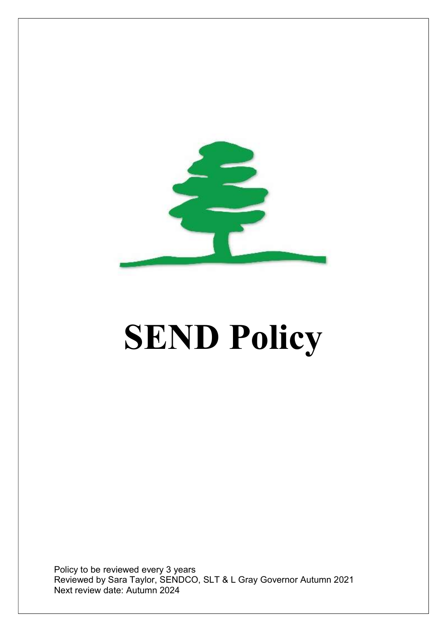

# SEND Policy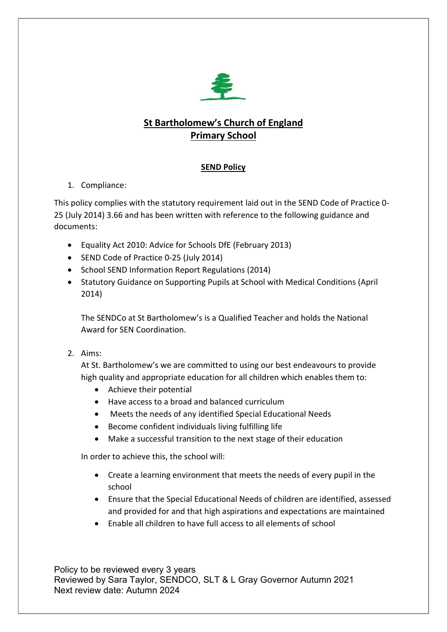

# St Bartholomew's Church of England Primary School

# SEND Policy

# 1. Compliance:

This policy complies with the statutory requirement laid out in the SEND Code of Practice 0- 25 (July 2014) 3.66 and has been written with reference to the following guidance and documents:

- Equality Act 2010: Advice for Schools DfE (February 2013)
- SEND Code of Practice 0-25 (July 2014)
- School SEND Information Report Regulations (2014)
- Statutory Guidance on Supporting Pupils at School with Medical Conditions (April 2014)

The SENDCo at St Bartholomew's is a Qualified Teacher and holds the National Award for SEN Coordination.

2. Aims:

At St. Bartholomew's we are committed to using our best endeavours to provide high quality and appropriate education for all children which enables them to:

- Achieve their potential
- Have access to a broad and balanced curriculum
- Meets the needs of any identified Special Educational Needs
- Become confident individuals living fulfilling life
- Make a successful transition to the next stage of their education

In order to achieve this, the school will:

- Create a learning environment that meets the needs of every pupil in the school
- Ensure that the Special Educational Needs of children are identified, assessed and provided for and that high aspirations and expectations are maintained
- Enable all children to have full access to all elements of school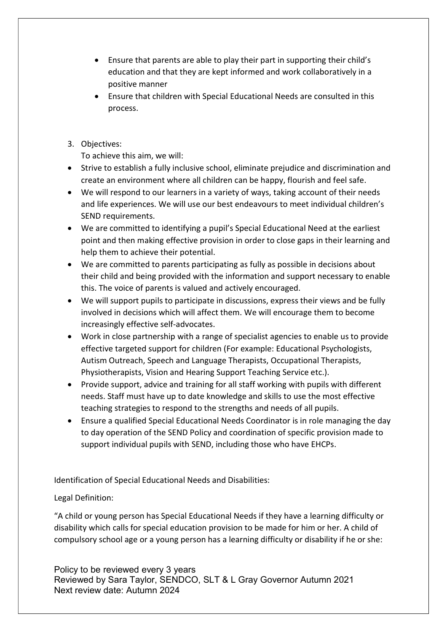- Ensure that parents are able to play their part in supporting their child's education and that they are kept informed and work collaboratively in a positive manner
- Ensure that children with Special Educational Needs are consulted in this process.
- 3. Objectives:

To achieve this aim, we will:

- Strive to establish a fully inclusive school, eliminate prejudice and discrimination and create an environment where all children can be happy, flourish and feel safe.
- We will respond to our learners in a variety of ways, taking account of their needs and life experiences. We will use our best endeavours to meet individual children's SEND requirements.
- We are committed to identifying a pupil's Special Educational Need at the earliest point and then making effective provision in order to close gaps in their learning and help them to achieve their potential.
- We are committed to parents participating as fully as possible in decisions about their child and being provided with the information and support necessary to enable this. The voice of parents is valued and actively encouraged.
- We will support pupils to participate in discussions, express their views and be fully involved in decisions which will affect them. We will encourage them to become increasingly effective self-advocates.
- Work in close partnership with a range of specialist agencies to enable us to provide effective targeted support for children (For example: Educational Psychologists, Autism Outreach, Speech and Language Therapists, Occupational Therapists, Physiotherapists, Vision and Hearing Support Teaching Service etc.).
- Provide support, advice and training for all staff working with pupils with different needs. Staff must have up to date knowledge and skills to use the most effective teaching strategies to respond to the strengths and needs of all pupils.
- Ensure a qualified Special Educational Needs Coordinator is in role managing the day to day operation of the SEND Policy and coordination of specific provision made to support individual pupils with SEND, including those who have EHCPs.

Identification of Special Educational Needs and Disabilities:

# Legal Definition:

"A child or young person has Special Educational Needs if they have a learning difficulty or disability which calls for special education provision to be made for him or her. A child of compulsory school age or a young person has a learning difficulty or disability if he or she: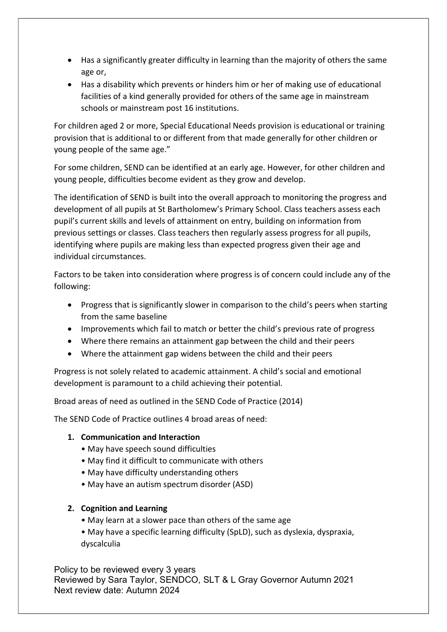- Has a significantly greater difficulty in learning than the majority of others the same age or,
- Has a disability which prevents or hinders him or her of making use of educational facilities of a kind generally provided for others of the same age in mainstream schools or mainstream post 16 institutions.

For children aged 2 or more, Special Educational Needs provision is educational or training provision that is additional to or different from that made generally for other children or young people of the same age."

For some children, SEND can be identified at an early age. However, for other children and young people, difficulties become evident as they grow and develop.

The identification of SEND is built into the overall approach to monitoring the progress and development of all pupils at St Bartholomew's Primary School. Class teachers assess each pupil's current skills and levels of attainment on entry, building on information from previous settings or classes. Class teachers then regularly assess progress for all pupils, identifying where pupils are making less than expected progress given their age and individual circumstances.

Factors to be taken into consideration where progress is of concern could include any of the following:

- Progress that is significantly slower in comparison to the child's peers when starting from the same baseline
- Improvements which fail to match or better the child's previous rate of progress
- Where there remains an attainment gap between the child and their peers
- Where the attainment gap widens between the child and their peers

Progress is not solely related to academic attainment. A child's social and emotional development is paramount to a child achieving their potential.

Broad areas of need as outlined in the SEND Code of Practice (2014)

The SEND Code of Practice outlines 4 broad areas of need:

# 1. Communication and Interaction

- May have speech sound difficulties
- May find it difficult to communicate with others
- May have difficulty understanding others
- May have an autism spectrum disorder (ASD)

# 2. Cognition and Learning

- May learn at a slower pace than others of the same age
- May have a specific learning difficulty (SpLD), such as dyslexia, dyspraxia, dyscalculia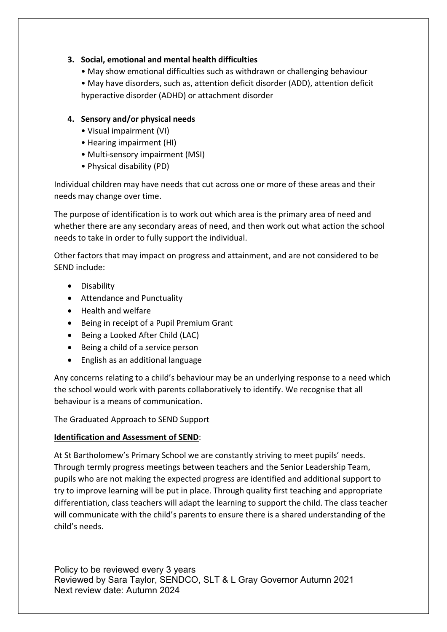# 3. Social, emotional and mental health difficulties

• May show emotional difficulties such as withdrawn or challenging behaviour

• May have disorders, such as, attention deficit disorder (ADD), attention deficit hyperactive disorder (ADHD) or attachment disorder

# 4. Sensory and/or physical needs

- Visual impairment (VI)
- Hearing impairment (HI)
- Multi-sensory impairment (MSI)
- Physical disability (PD)

Individual children may have needs that cut across one or more of these areas and their needs may change over time.

The purpose of identification is to work out which area is the primary area of need and whether there are any secondary areas of need, and then work out what action the school needs to take in order to fully support the individual.

Other factors that may impact on progress and attainment, and are not considered to be SEND include:

- **•** Disability
- Attendance and Punctuality
- Health and welfare
- Being in receipt of a Pupil Premium Grant
- Being a Looked After Child (LAC)
- Being a child of a service person
- English as an additional language

Any concerns relating to a child's behaviour may be an underlying response to a need which the school would work with parents collaboratively to identify. We recognise that all behaviour is a means of communication.

The Graduated Approach to SEND Support

# Identification and Assessment of SEND:

At St Bartholomew's Primary School we are constantly striving to meet pupils' needs. Through termly progress meetings between teachers and the Senior Leadership Team, pupils who are not making the expected progress are identified and additional support to try to improve learning will be put in place. Through quality first teaching and appropriate differentiation, class teachers will adapt the learning to support the child. The class teacher will communicate with the child's parents to ensure there is a shared understanding of the child's needs.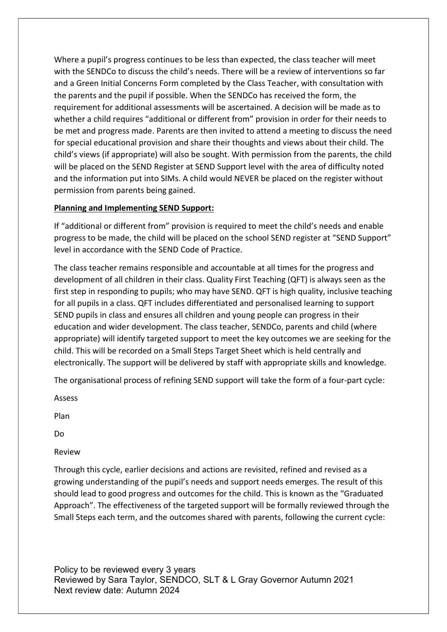Where a pupil's progress continues to be less than expected, the class teacher will meet with the SENDCo to discuss the child's needs. There will be a review of interventions so far and a Green Initial Concerns Form completed by the Class Teacher, with consultation with the parents and the pupil if possible. When the SENDCo has received the form, the requirement for additional assessments will be ascertained. A decision will be made as to whether a child requires "additional or different from" provision in order for their needs to be met and progress made. Parents are then invited to attend a meeting to discuss the need for special educational provision and share their thoughts and views about their child. The child's views (if appropriate) will also be sought. With permission from the parents, the child will be placed on the SEND Register at SEND Support level with the area of difficulty noted and the information put into SIMs. A child would NEVER be placed on the register without permission from parents being gained.

#### Planning and Implementing SEND Support:

If "additional or different from" provision is required to meet the child's needs and enable progress to be made, the child will be placed on the school SEND register at "SEND Support" level in accordance with the SEND Code of Practice.

The class teacher remains responsible and accountable at all times for the progress and development of all children in their class. Quality First Teaching (QFT) is always seen as the first step in responding to pupils; who may have SEND. QFT is high quality, inclusive teaching for all pupils in a class. QFT includes differentiated and personalised learning to support SEND pupils in class and ensures all children and young people can progress in their education and wider development. The class teacher, SENDCo, parents and child (where appropriate) will identify targeted support to meet the key outcomes we are seeking for the child. This will be recorded on a Small Steps Target Sheet which is held centrally and electronically. The support will be delivered by staff with appropriate skills and knowledge.

The organisational process of refining SEND support will take the form of a four-part cycle:

Assess

Plan

Do

Review

Through this cycle, earlier decisions and actions are revisited, refined and revised as a growing understanding of the pupil's needs and support needs emerges. The result of this should lead to good progress and outcomes for the child. This is known as the "Graduated Approach". The effectiveness of the targeted support will be formally reviewed through the Small Steps each term, and the outcomes shared with parents, following the current cycle: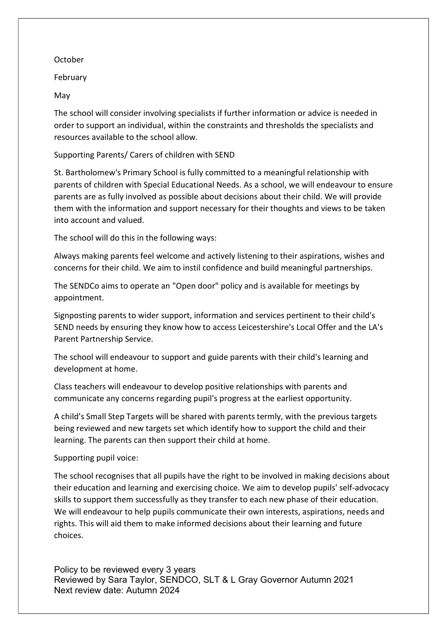October

February

May

The school will consider involving specialists if further information or advice is needed in order to support an individual, within the constraints and thresholds the specialists and resources available to the school allow.

Supporting Parents/ Carers of children with SEND

St. Bartholomew's Primary School is fully committed to a meaningful relationship with parents of children with Special Educational Needs. As a school, we will endeavour to ensure parents are as fully involved as possible about decisions about their child. We will provide them with the information and support necessary for their thoughts and views to be taken into account and valued.

The school will do this in the following ways:

Always making parents feel welcome and actively listening to their aspirations, wishes and concerns for their child. We aim to instil confidence and build meaningful partnerships.

The SENDCo aims to operate an "Open door" policy and is available for meetings by appointment.

Signposting parents to wider support, information and services pertinent to their child's SEND needs by ensuring they know how to access Leicestershire's Local Offer and the LA's Parent Partnership Service.

The school will endeavour to support and guide parents with their child's learning and development at home.

Class teachers will endeavour to develop positive relationships with parents and communicate any concerns regarding pupil's progress at the earliest opportunity.

A child's Small Step Targets will be shared with parents termly, with the previous targets being reviewed and new targets set which identify how to support the child and their learning. The parents can then support their child at home.

Supporting pupil voice:

The school recognises that all pupils have the right to be involved in making decisions about their education and learning and exercising choice. We aim to develop pupils' self-advocacy skills to support them successfully as they transfer to each new phase of their education. We will endeavour to help pupils communicate their own interests, aspirations, needs and rights. This will aid them to make informed decisions about their learning and future choices.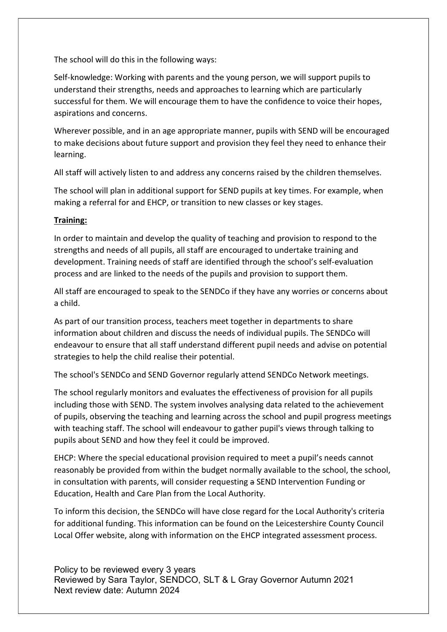The school will do this in the following ways:

Self-knowledge: Working with parents and the young person, we will support pupils to understand their strengths, needs and approaches to learning which are particularly successful for them. We will encourage them to have the confidence to voice their hopes, aspirations and concerns.

Wherever possible, and in an age appropriate manner, pupils with SEND will be encouraged to make decisions about future support and provision they feel they need to enhance their learning.

All staff will actively listen to and address any concerns raised by the children themselves.

The school will plan in additional support for SEND pupils at key times. For example, when making a referral for and EHCP, or transition to new classes or key stages.

#### Training:

In order to maintain and develop the quality of teaching and provision to respond to the strengths and needs of all pupils, all staff are encouraged to undertake training and development. Training needs of staff are identified through the school's self-evaluation process and are linked to the needs of the pupils and provision to support them.

All staff are encouraged to speak to the SENDCo if they have any worries or concerns about a child.

As part of our transition process, teachers meet together in departments to share information about children and discuss the needs of individual pupils. The SENDCo will endeavour to ensure that all staff understand different pupil needs and advise on potential strategies to help the child realise their potential.

The school's SENDCo and SEND Governor regularly attend SENDCo Network meetings.

The school regularly monitors and evaluates the effectiveness of provision for all pupils including those with SEND. The system involves analysing data related to the achievement of pupils, observing the teaching and learning across the school and pupil progress meetings with teaching staff. The school will endeavour to gather pupil's views through talking to pupils about SEND and how they feel it could be improved.

EHCP: Where the special educational provision required to meet a pupil's needs cannot reasonably be provided from within the budget normally available to the school, the school, in consultation with parents, will consider requesting a SEND Intervention Funding or Education, Health and Care Plan from the Local Authority.

To inform this decision, the SENDCo will have close regard for the Local Authority's criteria for additional funding. This information can be found on the Leicestershire County Council Local Offer website, along with information on the EHCP integrated assessment process.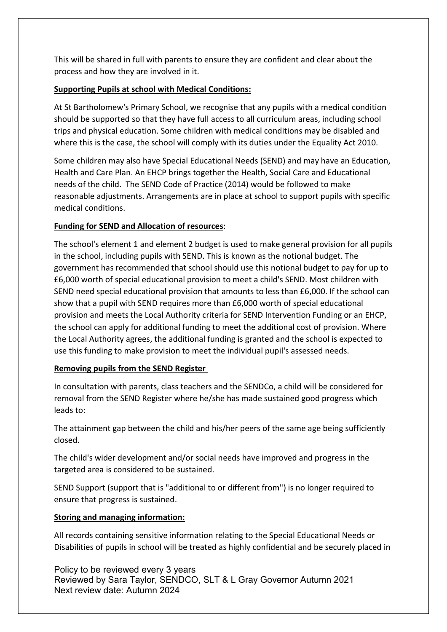This will be shared in full with parents to ensure they are confident and clear about the process and how they are involved in it.

## Supporting Pupils at school with Medical Conditions:

At St Bartholomew's Primary School, we recognise that any pupils with a medical condition should be supported so that they have full access to all curriculum areas, including school trips and physical education. Some children with medical conditions may be disabled and where this is the case, the school will comply with its duties under the Equality Act 2010.

Some children may also have Special Educational Needs (SEND) and may have an Education, Health and Care Plan. An EHCP brings together the Health, Social Care and Educational needs of the child. The SEND Code of Practice (2014) would be followed to make reasonable adjustments. Arrangements are in place at school to support pupils with specific medical conditions.

# Funding for SEND and Allocation of resources:

The school's element 1 and element 2 budget is used to make general provision for all pupils in the school, including pupils with SEND. This is known as the notional budget. The government has recommended that school should use this notional budget to pay for up to £6,000 worth of special educational provision to meet a child's SEND. Most children with SEND need special educational provision that amounts to less than £6,000. If the school can show that a pupil with SEND requires more than £6,000 worth of special educational provision and meets the Local Authority criteria for SEND Intervention Funding or an EHCP, the school can apply for additional funding to meet the additional cost of provision. Where the Local Authority agrees, the additional funding is granted and the school is expected to use this funding to make provision to meet the individual pupil's assessed needs.

#### Removing pupils from the SEND Register

In consultation with parents, class teachers and the SENDCo, a child will be considered for removal from the SEND Register where he/she has made sustained good progress which leads to:

The attainment gap between the child and his/her peers of the same age being sufficiently closed.

The child's wider development and/or social needs have improved and progress in the targeted area is considered to be sustained.

SEND Support (support that is "additional to or different from") is no longer required to ensure that progress is sustained.

#### Storing and managing information:

All records containing sensitive information relating to the Special Educational Needs or Disabilities of pupils in school will be treated as highly confidential and be securely placed in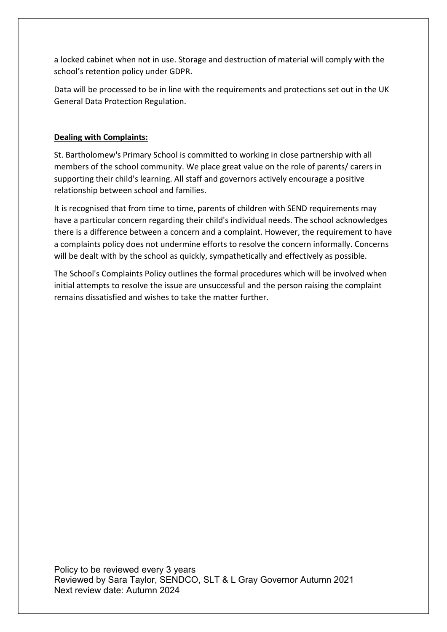a locked cabinet when not in use. Storage and destruction of material will comply with the school's retention policy under GDPR.

Data will be processed to be in line with the requirements and protections set out in the UK General Data Protection Regulation.

## Dealing with Complaints:

St. Bartholomew's Primary School is committed to working in close partnership with all members of the school community. We place great value on the role of parents/ carers in supporting their child's learning. All staff and governors actively encourage a positive relationship between school and families.

It is recognised that from time to time, parents of children with SEND requirements may have a particular concern regarding their child's individual needs. The school acknowledges there is a difference between a concern and a complaint. However, the requirement to have a complaints policy does not undermine efforts to resolve the concern informally. Concerns will be dealt with by the school as quickly, sympathetically and effectively as possible.

The School's Complaints Policy outlines the formal procedures which will be involved when initial attempts to resolve the issue are unsuccessful and the person raising the complaint remains dissatisfied and wishes to take the matter further.